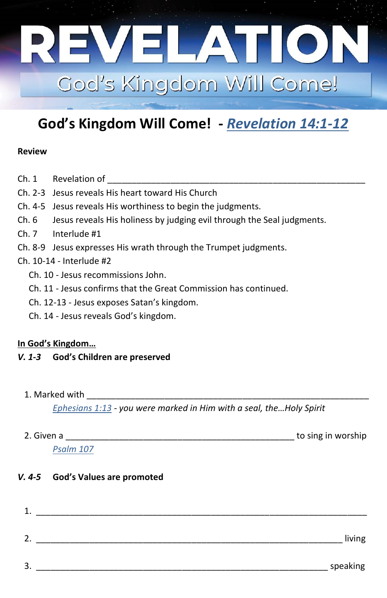

# **God's Kingdom Will Come! -** *[Revelation 14:1-12](https://www.bible.com/bible/59/rev.14.1-12)*

#### **Review**

- Ch. 1 Revelation of
- Ch. 2-3 Jesus reveals His heart toward His Church
- Ch. 4-5 Jesus reveals His worthiness to begin the judgments.
- Ch. 6 Jesus reveals His holiness by judging evil through the Seal judgments.
- Ch. 7 Interlude #1
- Ch. 8-9 Jesus expresses His wrath through the Trumpet judgments.

### Ch. 10-14 - Interlude #2

- Ch. 10 Jesus recommissions John.
- Ch. 11 Jesus confirms that the Great Commission has continued.
- Ch. 12-13 Jesus exposes Satan's kingdom.
- Ch. 14 Jesus reveals God's kingdom.

#### **In God's Kingdom…**

#### *V. 1-3* **God's Children are preserved**

1. Marked with

*[Ephesians 1:13 -](https://www.bible.com/bible/59/eph.1.13) you were marked in Him with a seal, the…Holy Spirit*

| 2. Given a | to sing in worship |
|------------|--------------------|
| Psalm 107  |                    |

#### *V. 4-5* **God's Values are promoted**

| living   |  |
|----------|--|
| speaking |  |